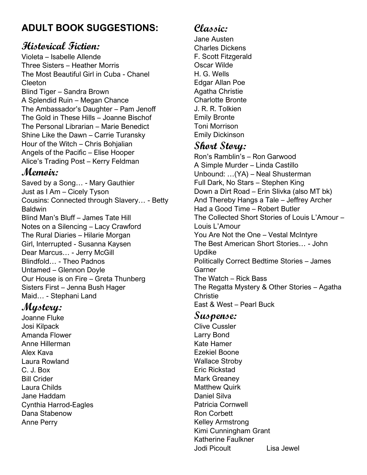## **ADULT BOOK SUGGESTIONS:**

### **Historical Fiction:**

Violeta – Isabelle Allende Three Sisters – Heather Morris The Most Beautiful Girl in Cuba - Chanel Cleeton Blind Tiger – Sandra Brown A Splendid Ruin – Megan Chance The Ambassador's Daughter – Pam Jenoff The Gold in These Hills – Joanne Bischof The Personal Librarian – Marie Benedict Shine Like the Dawn – Carrie Turansky Hour of the Witch – Chris Bohjalian Angels of the Pacific – Elise Hooper Alice's Trading Post – Kerry Feldman

### **Memoir:**

Saved by a Song… - Mary Gauthier Just as I Am – Cicely Tyson Cousins: Connected through Slavery… - Betty Baldwin Blind Man's Bluff – James Tate Hill Notes on a Silencing – Lacy Crawford The Rural Diaries – Hilarie Morgan Girl, Interrupted - Susanna Kaysen Dear Marcus… - Jerry McGill Blindfold… - Theo Padnos Untamed – Glennon Doyle Our House is on Fire – Greta Thunberg Sisters First – Jenna Bush Hager Maid… - Stephani Land

### **Mystery:**

Joanne Fluke Josi Kilpack Amanda Flower Anne Hillerman Alex Kava Laura Rowland C. J. Box Bill Crider Laura Childs Jane Haddam Cynthia Harrod-Eagles Dana Stabenow Anne Perry

# **Classic:**

Jane Austen Charles Dickens F. Scott Fitzgerald Oscar Wilde H. G. Wells Edgar Allan Poe Agatha Christie Charlotte Bronte J. R. R. Tolkien Emily Bronte Toni Morrison Emily Dickinson

### **Short Story:**

Ron's Ramblin's – Ron Garwood A Simple Murder – Linda Castillo Unbound: …(YA) – Neal Shusterman Full Dark, No Stars – Stephen King Down a Dirt Road – Erin Slivka (also MT bk) And Thereby Hangs a Tale – Jeffrey Archer Had a Good Time – Robert Butler The Collected Short Stories of Louis L'Amour – Louis L'Amour You Are Not the One – Vestal McIntyre The Best American Short Stories… - John Updike Politically Correct Bedtime Stories – James Garner The Watch – Rick Bass The Regatta Mystery & Other Stories – Agatha Christie East & West – Pearl Buck

#### **Suspense:**

Clive Cussler Larry Bond Kate Hamer Ezekiel Boone Wallace Stroby Eric Rickstad Mark Greaney Matthew Quirk Daniel Silva Patricia Cornwell Ron Corbett Kelley Armstrong Kimi Cunningham Grant Katherine Faulkner Jodi Picoult Lisa Jewel